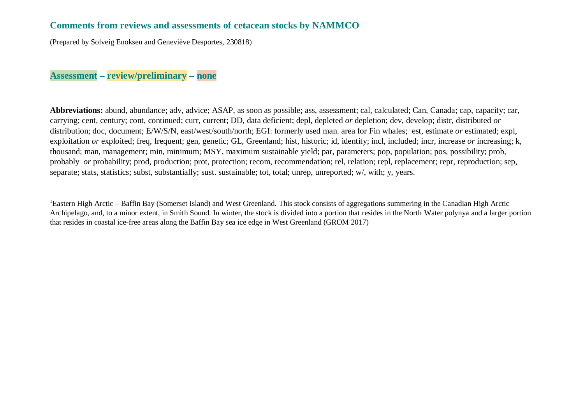## **Comments from reviews and assessments of cetacean stocks by NAMMCO**

(Prepared by Solveig Enoksen and Geneviève Desportes, 230818)

## **Assessment – review/preliminary – none**

**Abbreviations:** abund, abundance; adv, advice; ASAP, as soon as possible; ass, assessment; cal, calculated; Can, Canada; cap, capacity; car, carrying; cent, century; cont, continued; curr, current; DD, data deficient; depl, depleted *or* depletion; dev, develop; distr, distributed *or* distribution; doc, document; E/W/S/N, east/west/south/north; EGI: formerly used man. area for Fin whales; est, estimate *or* estimated; expl, exploitation *or* exploited; freq, frequent; gen, genetic; GL, Greenland; hist, historic; id, identity; incl, included; incr, increase *or* increasing; k, thousand; man, management; min, minimum; MSY, maximum sustainable yield; par, parameters; pop, population; pos, possibility; prob, probably *or* probability; prod, production; prot, protection; recom, recommendation; rel, relation; repl, replacement; repr, reproduction; sep, separate; stats, statistics; subst, substantially; sust. sustainable; tot, total; unrep, unreported; w/, with; y, years.

<sup>1</sup>Eastern High Arctic – Baffin Bay (Somerset Island) and West Greenland. This stock consists of aggregations summering in the Canadian High Arctic Archipelago, and, to a minor extent, in Smith Sound. In winter, the stock is divided into a portion that resides in the North Water polynya and a larger portion that resides in coastal ice-free areas along the Baffin Bay sea ice edge in West Greenland (GROM 2017)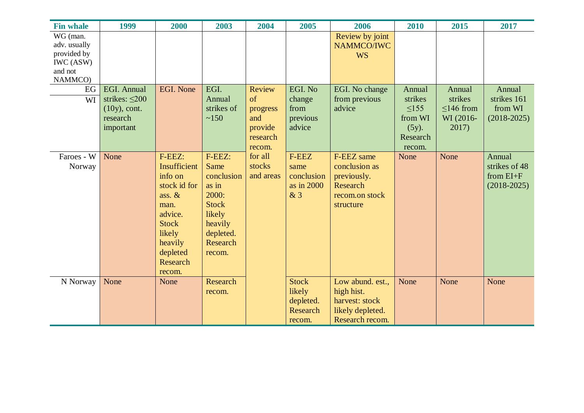| <b>Fin whale</b>                                                                  | 1999                                                                                  | 2000                                                                                                                                                    | 2003                                                                                                                   | 2004                                                             | 2005                                                      | 2006                                                                                    | 2010                                                                         | 2015                                                       | 2017                                                    |
|-----------------------------------------------------------------------------------|---------------------------------------------------------------------------------------|---------------------------------------------------------------------------------------------------------------------------------------------------------|------------------------------------------------------------------------------------------------------------------------|------------------------------------------------------------------|-----------------------------------------------------------|-----------------------------------------------------------------------------------------|------------------------------------------------------------------------------|------------------------------------------------------------|---------------------------------------------------------|
| WG (man.<br>adv. usually<br>provided by<br><b>IWC</b> (ASW)<br>and not<br>NAMMCO) |                                                                                       |                                                                                                                                                         |                                                                                                                        |                                                                  |                                                           | Review by joint<br>NAMMCO/IWC<br><b>WS</b>                                              |                                                                              |                                                            |                                                         |
| EG<br>WI                                                                          | <b>EGI.</b> Annual<br>strikes: $\leq$ 200<br>$(10y)$ , cont.<br>research<br>important | <b>EGI.</b> None                                                                                                                                        | EGI.<br>Annual<br>strikes of<br>~150                                                                                   | Review<br>of<br>progress<br>and<br>provide<br>research<br>recom. | EGI. No<br>change<br>from<br>previous<br>advice           | EGI. No change<br>from previous<br>advice                                               | Annual<br>strikes<br>$\leq$ 155<br>from WI<br>$(5y)$ .<br>Research<br>recom. | Annual<br>strikes<br>$\leq$ 146 from<br>WI (2016-<br>2017) | Annual<br>strikes 161<br>from WI<br>$(2018 - 2025)$     |
| Faroes - W<br>Norway                                                              | None                                                                                  | F-EEZ:<br>Insufficient<br>info on<br>stock id for<br>ass. $&$<br>man.<br>advice.<br><b>Stock</b><br>likely<br>heavily<br>depleted<br>Research<br>recom. | F-EEZ:<br>Same<br>conclusion<br>as in<br>2000:<br><b>Stock</b><br>likely<br>heavily<br>depleted.<br>Research<br>recom. | for all<br>stocks<br>and areas                                   | F-EEZ<br>same<br>conclusion<br>as in 2000<br>&3           | F-EEZ same<br>conclusion as<br>previously.<br>Research<br>recom.on stock<br>structure   | None                                                                         | None                                                       | Annual<br>strikes of 48<br>from $EI+F$<br>$(2018-2025)$ |
| N Norway                                                                          | None                                                                                  | None                                                                                                                                                    | Research<br>recom.                                                                                                     |                                                                  | <b>Stock</b><br>likely<br>depleted.<br>Research<br>recom. | Low abund. est.,<br>high hist.<br>harvest: stock<br>likely depleted.<br>Research recom. | None                                                                         | None                                                       | None                                                    |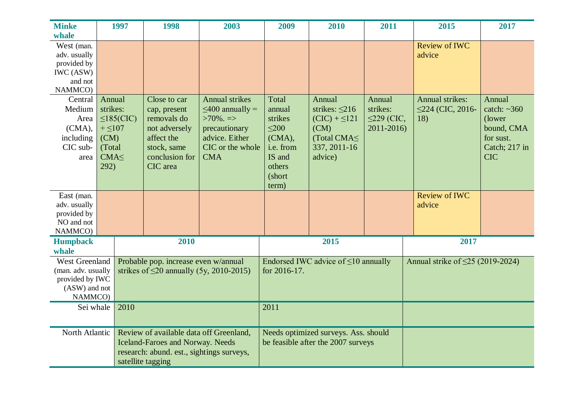| <b>Minke</b>                    |                                              | 1997              | 1998<br>2003                                                                         |                                                | 2009                        | 2010                                      | 2011                                   | 2015                                             | 2017                        |  |
|---------------------------------|----------------------------------------------|-------------------|--------------------------------------------------------------------------------------|------------------------------------------------|-----------------------------|-------------------------------------------|----------------------------------------|--------------------------------------------------|-----------------------------|--|
| whale<br>West (man.             |                                              |                   |                                                                                      |                                                |                             |                                           |                                        | <b>Review of IWC</b>                             |                             |  |
| adv. usually                    |                                              |                   |                                                                                      |                                                |                             |                                           |                                        | advice                                           |                             |  |
| provided by<br><b>IWC</b> (ASW) |                                              |                   |                                                                                      |                                                |                             |                                           |                                        |                                                  |                             |  |
| and not                         |                                              |                   |                                                                                      |                                                |                             |                                           |                                        |                                                  |                             |  |
| NAMMCO)                         |                                              |                   |                                                                                      |                                                |                             |                                           |                                        |                                                  |                             |  |
| Central<br>Medium               | Annual<br>strikes:                           |                   | Close to car<br>cap, present                                                         | <b>Annual strikes</b><br>$\leq 400$ annually = | Total<br>annual             | Annual<br>strikes: $\leq$ 216             | Annual<br>strikes:                     | <b>Annual strikes:</b><br>$\leq$ 224 (CIC, 2016- | Annual<br>catch: $\sim 360$ |  |
| Area                            |                                              | $\leq$ 185(CIC)   | removals do                                                                          | $>70\%$ . $\Rightarrow$                        | strikes                     | $(CIC) + \le 121$                         | $\leq$ 229 (CIC,                       | 18)                                              | (lower                      |  |
| $(CMA)$ ,                       | $+5107$                                      |                   | not adversely                                                                        | precautionary                                  | $\leq 200$                  | (CM)                                      | 2011-2016)                             |                                                  | bound, CMA                  |  |
| including<br>CIC sub-           | (CM)<br>affect the<br>(Total)<br>stock, same |                   | advice. Either<br>CIC or the whole                                                   | $(CMA)$ ,<br>i.e. from                         | (Total CMAS<br>337, 2011-16 |                                           |                                        | for sust.<br>Catch; 217 in                       |                             |  |
| area                            | CMA<                                         |                   | conclusion for                                                                       | <b>CMA</b>                                     | IS and                      | advice)                                   |                                        |                                                  | <b>CIC</b>                  |  |
|                                 | 292)                                         |                   | CIC area                                                                             |                                                | others                      |                                           |                                        |                                                  |                             |  |
|                                 |                                              |                   |                                                                                      |                                                | (short<br>term)             |                                           |                                        |                                                  |                             |  |
| East (man.                      |                                              |                   |                                                                                      |                                                |                             |                                           |                                        | <b>Review of IWC</b>                             |                             |  |
| adv. usually                    |                                              |                   |                                                                                      |                                                |                             |                                           |                                        | advice                                           |                             |  |
| provided by<br>NO and not       |                                              |                   |                                                                                      |                                                |                             |                                           |                                        |                                                  |                             |  |
| NAMMCO)                         |                                              |                   |                                                                                      |                                                |                             |                                           |                                        |                                                  |                             |  |
| <b>Humpback</b>                 |                                              |                   | 2010                                                                                 |                                                |                             | 2015                                      |                                        | 2017                                             |                             |  |
| whale<br><b>West Greenland</b>  |                                              |                   | Probable pop. increase even w/annual                                                 |                                                |                             | Endorsed IWC advice of $\leq 10$ annually | Annual strike of $\leq$ 25 (2019-2024) |                                                  |                             |  |
| (man. adv. usually              |                                              |                   | strikes of $\leq$ 20 annually (5y, 2010-2015)                                        |                                                | for 2016-17.                |                                           |                                        |                                                  |                             |  |
| provided by IWC                 |                                              |                   |                                                                                      |                                                |                             |                                           |                                        |                                                  |                             |  |
| (ASW) and not<br>NAMMCO)        |                                              |                   |                                                                                      |                                                |                             |                                           |                                        |                                                  |                             |  |
|                                 | 2010<br>Sei whale                            |                   |                                                                                      | 2011                                           |                             |                                           |                                        |                                                  |                             |  |
|                                 |                                              |                   |                                                                                      |                                                |                             |                                           |                                        |                                                  |                             |  |
| North Atlantic                  |                                              |                   | Review of available data off Greenland,                                              |                                                |                             | Needs optimized surveys. Ass. should      |                                        |                                                  |                             |  |
|                                 |                                              |                   | <b>Iceland-Faroes and Norway. Needs</b><br>research: abund. est., sightings surveys, |                                                |                             | be feasible after the 2007 surveys        |                                        |                                                  |                             |  |
|                                 |                                              | satellite tagging |                                                                                      |                                                |                             |                                           |                                        |                                                  |                             |  |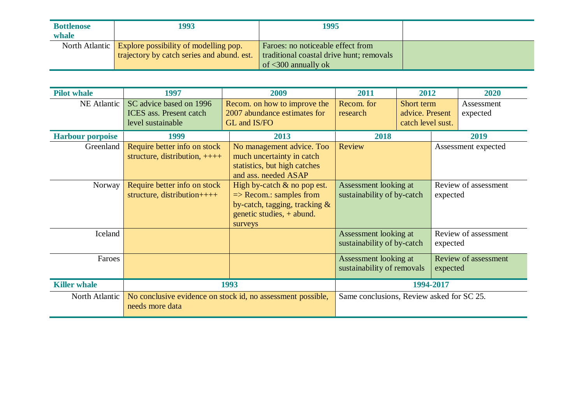| <b>Bottlenose</b> | 1993                                                   | 1995                                     |  |
|-------------------|--------------------------------------------------------|------------------------------------------|--|
| whale             |                                                        |                                          |  |
|                   | North Atlantic   Explore possibility of modelling pop. | Faroes: no noticeable effect from        |  |
|                   | trajectory by catch series and abund. est.             | traditional coastal drive hunt; removals |  |
|                   |                                                        | of $\langle 300 \rangle$ annually ok     |  |

| <b>Pilot whale</b>      | 1997                                                                           | 2009                                                                                                                                             | 2011                                                |                                                    | 2012<br>2020                            |                        |
|-------------------------|--------------------------------------------------------------------------------|--------------------------------------------------------------------------------------------------------------------------------------------------|-----------------------------------------------------|----------------------------------------------------|-----------------------------------------|------------------------|
| <b>NE</b> Atlantic      | SC advice based on 1996<br><b>ICES</b> ass. Present catch<br>level sustainable | Recom. on how to improve the<br>2007 abundance estimates for<br>GL and IS/FO                                                                     | Recom. for<br>research                              | Short term<br>advice. Present<br>catch level sust. |                                         | Assessment<br>expected |
| <b>Harbour porpoise</b> | 1999                                                                           | 2013                                                                                                                                             | 2018                                                |                                                    | 2019                                    |                        |
| Greenland               | Require better info on stock<br>structure, distribution, $++++$                | No management advice. Too<br>much uncertainty in catch<br>statistics, but high catches<br>and ass. needed ASAP                                   | Review                                              |                                                    | Assessment expected                     |                        |
| Norway                  | Require better info on stock<br>structure, distribution $++++$                 | High by-catch $\&$ no pop est.<br>$\Rightarrow$ Recom.: samples from<br>by-catch, tagging, tracking $\&$<br>genetic studies, + abund.<br>surveys | Assessment looking at<br>sustainability of by-catch |                                                    | Review of assessment<br>expected        |                        |
| Iceland                 |                                                                                |                                                                                                                                                  | Assessment looking at<br>sustainability of by-catch |                                                    | Review of assessment<br>expected        |                        |
| Faroes                  |                                                                                |                                                                                                                                                  | Assessment looking at<br>sustainability of removals |                                                    | <b>Review of assessment</b><br>expected |                        |
| <b>Killer</b> whale     | 1993                                                                           | 1994-2017                                                                                                                                        |                                                     |                                                    |                                         |                        |
| North Atlantic          | No conclusive evidence on stock id, no assessment possible,<br>needs more data | Same conclusions, Review asked for SC 25.                                                                                                        |                                                     |                                                    |                                         |                        |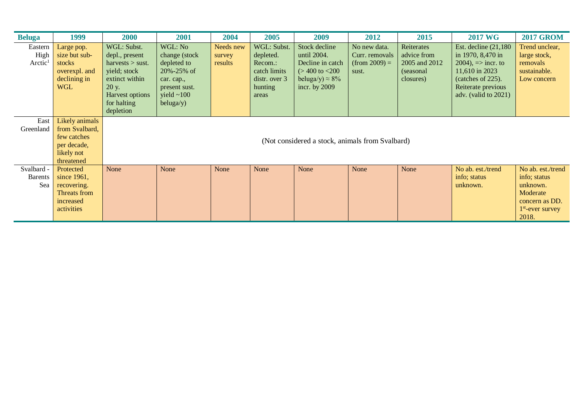| <b>Beluga</b>                          | 1999                                                                                       | <b>2000</b>                                                                                                                                 | 2001                                                                                                                     | 2004                           | 2005                                                                                     | 2009                                                                                                                         | 2012                                                       | 2015                                                                  | <b>2017 WG</b>                                                                                                                                                             | <b>2017 GROM</b>                                                                                           |  |
|----------------------------------------|--------------------------------------------------------------------------------------------|---------------------------------------------------------------------------------------------------------------------------------------------|--------------------------------------------------------------------------------------------------------------------------|--------------------------------|------------------------------------------------------------------------------------------|------------------------------------------------------------------------------------------------------------------------------|------------------------------------------------------------|-----------------------------------------------------------------------|----------------------------------------------------------------------------------------------------------------------------------------------------------------------------|------------------------------------------------------------------------------------------------------------|--|
| Eastern<br>High<br>Arctic <sup>1</sup> | Large pop.<br>size but sub-<br>stocks<br>overexpl. and<br>declining in<br><b>WGL</b>       | WGL: Subst.<br>depl., present<br>harvests > sust.<br>yield; stock<br>extinct within<br>20 y.<br>Harvest options<br>for halting<br>depletion | WGL: No<br>change (stock<br>depleted to<br>20%-25% of<br>car. cap.,<br>present sust.<br>yield $\sim$ 100<br>beluga/y $)$ | Needs new<br>survey<br>results | WGL: Subst.<br>depleted.<br>Recom.:<br>catch limits<br>distr. over 3<br>hunting<br>areas | Stock decline<br>until 2004.<br>Decline in catch<br>$(> 400 \text{ to } < 200$<br>beluga/y) $\approx 8\%$<br>incr. by $2009$ | No new data.<br>Curr. removals<br>$(from 2009) =$<br>sust. | Reiterates<br>advice from<br>2005 and 2012<br>(seasonal)<br>closures) | Est. decline $(21,180)$<br>in 1970, 8,470 in<br>$2004$ , $\Rightarrow$ incr. to<br>11,610 in 2023<br>(catches of $225$ ).<br>Reiterate previous<br>adv. (valid to $2021$ ) | Trend unclear,<br>large stock,<br>removals<br>sustainable.<br>Low concern                                  |  |
| East<br>Greenland                      | Likely animals<br>from Svalbard,<br>few catches<br>per decade,<br>likely not<br>threatened | (Not considered a stock, animals from Svalbard)                                                                                             |                                                                                                                          |                                |                                                                                          |                                                                                                                              |                                                            |                                                                       |                                                                                                                                                                            |                                                                                                            |  |
| Svalbard -<br>Barents<br>Sea           | Protected<br>since $1961$ ,<br>recovering.<br>Threats from<br>increased<br>activities      | None                                                                                                                                        | None                                                                                                                     | None                           | None                                                                                     | None                                                                                                                         | None                                                       | None                                                                  | No ab. est./trend<br>info; status<br>unknown.                                                                                                                              | No ab. est./trend<br>info; status<br>unknown.<br>Moderate<br>concern as DD.<br>$1st$ -ever survey<br>2018. |  |